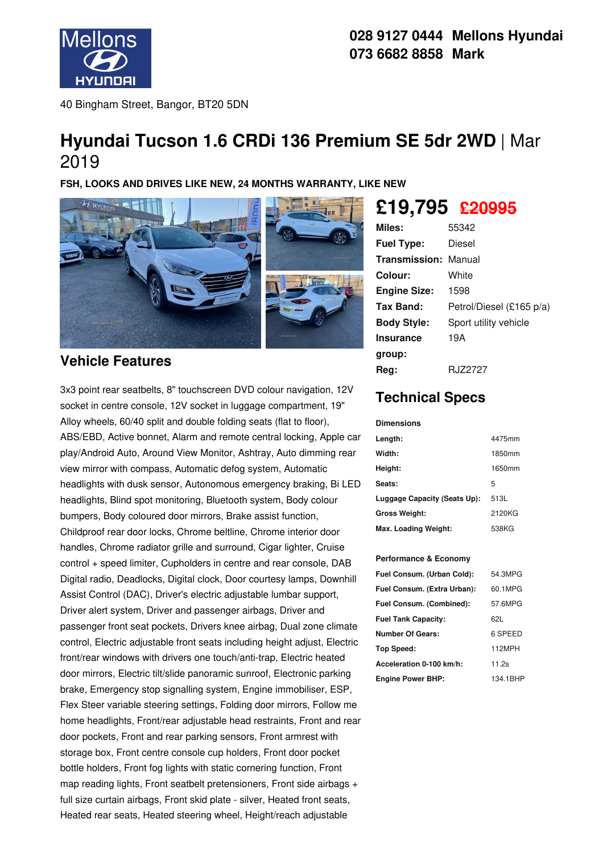

40 Bingham Street, Bangor, BT20 5DN

# **Hyundai Tucson 1.6 CRDi 136 Premium SE 5dr 2WD** | Mar 2019

**FSH, LOOKS AND DRIVES LIKE NEW, 24 MONTHS WARRANTY, LIKE NEW**



## **Vehicle Features**

3x3 point rear seatbelts, 8" touchscreen DVD colour navigation, 12V socket in centre console, 12V socket in luggage compartment, 19" Alloy wheels, 60/40 split and double folding seats (flat to floor), ABS/EBD, Active bonnet, Alarm and remote central locking, Apple car play/Android Auto, Around View Monitor, Ashtray, Auto dimming rear view mirror with compass, Automatic defog system, Automatic headlights with dusk sensor, Autonomous emergency braking, Bi LED headlights, Blind spot monitoring, Bluetooth system, Body colour bumpers, Body coloured door mirrors, Brake assist function, Childproof rear door locks, Chrome beltline, Chrome interior door handles, Chrome radiator grille and surround, Cigar lighter, Cruise control + speed limiter, Cupholders in centre and rear console, DAB Digital radio, Deadlocks, Digital clock, Door courtesy lamps, Downhill Assist Control (DAC), Driver's electric adjustable lumbar support, Driver alert system, Driver and passenger airbags, Driver and passenger front seat pockets, Drivers knee airbag, Dual zone climate control, Electric adjustable front seats including height adjust, Electric front/rear windows with drivers one touch/anti-trap, Electric heated door mirrors, Electric tilt/slide panoramic sunroof, Electronic parking brake, Emergency stop signalling system, Engine immobiliser, ESP, Flex Steer variable steering settings, Folding door mirrors, Follow me home headlights, Front/rear adjustable head restraints, Front and rear door pockets, Front and rear parking sensors, Front armrest with storage box, Front centre console cup holders, Front door pocket bottle holders, Front fog lights with static cornering function, Front map reading lights, Front seatbelt pretensioners, Front side airbags + full size curtain airbags, Front skid plate - silver, Heated front seats, Heated rear seats, Heated steering wheel, Height/reach adjustable

# **£19,795 £20995**

| Miles:               | 55342                    |
|----------------------|--------------------------|
| <b>Fuel Type:</b>    | Diesel                   |
| Transmission: Manual |                          |
| Colour:              | White                    |
| <b>Engine Size:</b>  | 1598                     |
| Tax Band:            | Petrol/Diesel (£165 p/a) |
| <b>Body Style:</b>   | Sport utility vehicle    |
| <b>Insurance</b>     | 19A                      |
| group:               |                          |
| Reg:                 | RJZ2727                  |

# **Technical Specs**

### **Dimensions Length:** 4475mm **Width:** 1850mm **Height:** 1650mm **Seats:** 5 **Luggage Capacity (Seats Up):** 513L **Gross Weight:** 2120KG

**Max. Loading Weight:** 538KG

#### **Performance & Economy**

| Fuel Consum. (Urban Cold):  | 54.3MPG  |
|-----------------------------|----------|
| Fuel Consum. (Extra Urban): | 60.1MPG  |
| Fuel Consum. (Combined):    | 57.6MPG  |
| <b>Fuel Tank Capacity:</b>  | 621.     |
| Number Of Gears:            | 6 SPEED  |
| Top Speed:                  | 112MPH   |
| Acceleration 0-100 km/h:    | 11.2s    |
| <b>Engine Power BHP:</b>    | 134.1BHP |